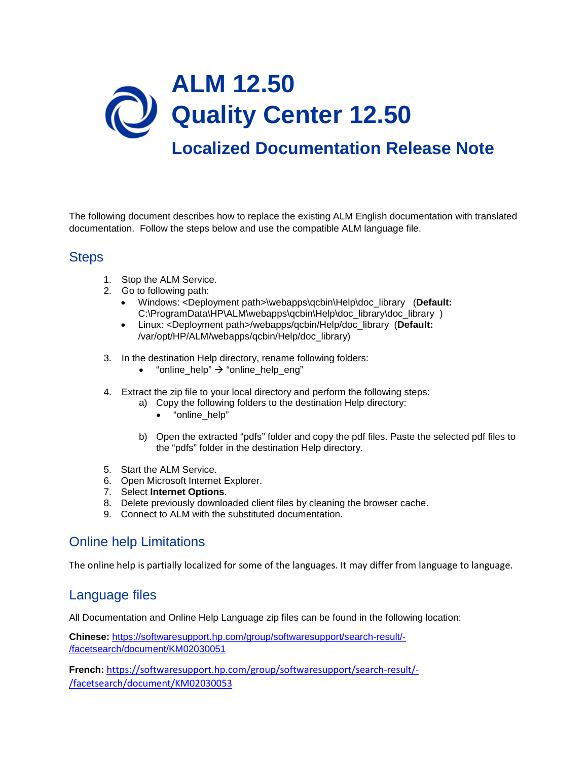

The following document describes how to replace the existing ALM English documentation with translated documentation. Follow the steps below and use the compatible ALM language file.

## **Steps**

- 1. Stop the ALM Service.
- 2. Go to following path:
	- Windows: <Deployment path>\webapps\qcbin\Help\doc\_library (**Default:** C:\ProgramData\HP\ALM\webapps\qcbin\Help\doc\_library\doc\_library )
	- Linux: <Deployment path>/webapps/qcbin/Help/doc\_library (**Default:** /var/opt/HP/ALM/webapps/qcbin/Help/doc\_library)
- 3. In the destination Help directory, rename following folders:
	- $\bullet$  "online\_help"  $\rightarrow$  "online\_help\_eng"
- 4. Extract the zip file to your local directory and perform the following steps:
	- a) Copy the following folders to the destination Help directory:
		- "online\_help"
	- b) Open the extracted "pdfs" folder and copy the pdf files. Paste the selected pdf files to the "pdfs" folder in the destination Help directory.
- 5. Start the ALM Service.
- 6. Open Microsoft Internet Explorer.
- 7. Select **Internet Options**.
- 8. Delete previously downloaded client files by cleaning the browser cache.
- 9. Connect to ALM with the substituted documentation.

## Online help Limitations

The online help is partially localized for some of the languages. It may differ from language to language.

## Language files

All Documentation and Online Help Language zip files can be found in the following location:

**Chinese:** [https://softwaresupport.hp.com/group/softwaresupport/search-result/-](https://softwaresupport.hp.com/group/softwaresupport/search-result/-/facetsearch/document/KM02030051) [/facetsearch/document/KM02030051](https://softwaresupport.hp.com/group/softwaresupport/search-result/-/facetsearch/document/KM02030051)

**French:** [https://softwaresupport.hp.com/group/softwaresupport/search-result/-](https://softwaresupport.hp.com/group/softwaresupport/search-result/-/facetsearch/document/KM02030053) [/facetsearch/document/KM02030053](https://softwaresupport.hp.com/group/softwaresupport/search-result/-/facetsearch/document/KM02030053)